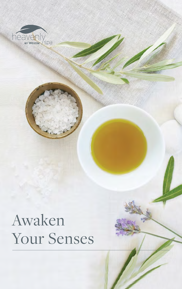

# Awaken Your Senses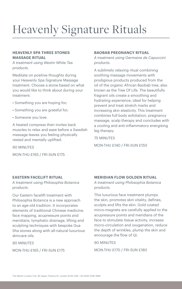## Heavenly Signature Rituals

#### **HEAVENLY SPA THREE STONES MASSAGE RITUAL**

*A treatment using Westin White Tea products.*

Meditate on positive thoughts during your Heavenly Spa Signature Massage treatment. Choose a stone based on what you would like to think about during your treatment:

- Something you are hoping for;
- Something you are grateful for;
- Someone you love.

A heated compress then invites back muscles to relax and ease before a Swedish massage leaves you feeling physically rested and mentally uplifted.

90 MINUTES

MON-THU £165 / FRI-SUN £175

#### **BAOBAB PREGNANCY RITUAL**

*A treatment using Germaine de Capuccini products.*

A sublimely relaxing ritual combining soothing massage movements with prodigious products produced from the oil of the organic African Baobab tree, also known as the Tree Of Life. The beautifully fragrant oils create a smoothing and hydrating experience, ideal for helping prevent and treat stretch marks and increasing skin elasticity. This treatment combines full body exfoliation, pregnancy massage, scalp therapy and concludes with a cooling and anti-inflammatory energising leg therapy.

75 MINUTES

MON-THU £140 / FRI-SUN £150

#### **EASTERN FACELIFT RITUAL**

*A treatment using Philosophia Botanica products.*

Our Eastern facelift treatment with Philosophia Botanica is a new approach to an age-old tradition. It incorporates elements of traditional Chinese medicine, face mapping, acupressure points and meridians, lymphatic drainage, lifting and sculpting techniques with bespoke Gua Sha stones along with all-natural luxurious skincare oils.

90 MINUTES

MON-THU £165 / FRI-SUN £175

#### **MERIDIAN FLOW GOLDEN RITUAL**

*A treatment using Philosophia Botanica products.*

This luxurious face treatment plumps the skin, promotes skin vitality, defines, sculpts and lifts the skin. Gold coated micro-magnets are carefully applied to the acupressure points and meridians of the face to stimulate tissue activity, increase micro-circulation and oxygenation, reduce the depth of wrinkles, plump the skin and encourage the flow of Qi.

90 MINUTES

MON-THU £170 / FRI-SUN £180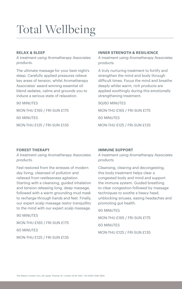## Total Wellbeing

### **RELAX & SLEEP**

*A treatment using Aromatherapy Associates products.*

The ultimate massage for your best night's sleep. Carefully applied pressures relieve key areas of tension, whilst Aromatherapy Associates' award-winning essential oil blend sedates, calms and grounds you to induce a serious state of relaxation.

90 MINUTES

MON-THU £165 / FRI-SUN £175

60 MINUTES

MON-THU £125 / FRI-SUN £135

#### **INNER STRENGTH & RESILIENCE**

*A treatment using Aromatherapy Associates products.*

A truly nurturing treatment to fortify and strengthen the mind and body through difficult times. Focus the mind and breathe deeply whilst warm, rich products are applied soothingly during this emotionally strengthening treatment.

90/60 MINUTES MON-THU £165 / FRI-SUN £175 60 MINUTES MON-THU £125 / FRI-SUN £135

#### **FOREST THERAPY**

*A treatment using Aromatherapy Associates products.*

Feel restored from the stresses of modern day living, cleansed of pollution and relieved from restlessness agitation. Starting with a cleansing, guided inhalation and tension releasing long, deep massage, followed with a warm grounding mud mask to recharge through hands and feet. Finally, our expert scalp massage restor tranquillity to the mind with our expert scalp massage.

90 MINUTES

MON-THU £165 / FRI-SUN £175

60 MINUTES

MON-THU £125 / FRI-SUN £135

#### **IMMUNE SUPPORT**

*A treatment using Aromatherapy Associates products.*

Cleansing, clearing and decongesting, this body treatment helps clear a congested body and mind and support the immune system. Guided breathing to clear congestion followed by massage techniques to soothe a heavy head, unblocking sinuses, easing headaches and promoting gut health.

90 MINUTES

MON-THU £165 / FRI-SUN £175 60 MINUTES MON-THU £125 / FRI-SUN £135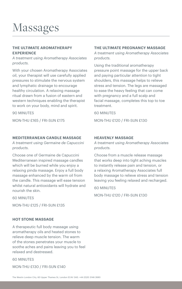### Massages

#### **THE ULTIMATE AROMATHERAPY EXPERIENCE**

*A treatment using Aromatherapy Associates products.*

With your chosen Aromatherapy Associates oil, your therapist will use carefully applied pressures to stimulate the nervous system and lymphatic drainage to encourage healthy circulation. A relaxing massage ritual drawn from a fusion of eastern and western techniques enabling the therapist to work on your body, mind and spirit.

90 MINUTES

MON-THU £165 / FRI-SUN £175

#### **MEDITERRANEAN CANDLE MASSAGE**

*A treatment using Germaine de Capuccini products.*

Choose one of Germaine de Capuccini Mediterranean inspired massage candles which will be burned while you enjoy a relaxing pinda massage. Enjoy a full body massage enhanced by the warm oil from the candle. This massage will ease tension whilst natural antioxidants will hydrate and nourish the skin.

60 MINUTES

MON-THU £125 / FRI-SUN £135

#### **HOT STONE MASSAGE**

A therapeutic full body massage using aromatherapy oils and heated stones to relieve deep muscle tension. The warm of the stones penetrates your muscle to soothe aches and pains leaving you to feel relaxed and destressed.

60 MINUTES

MON-THU £130 / FRI-SUN £140

#### **THE ULTIMATE PREGNANCY MASSAGE**

*A treatment using Aromatherapy Associates products.*

Using the traditional aromatherapy pressure point massage for the upper back and paying particular attention to tight shoulders, this massage helps to relieve stress and tension. The legs are massaged to ease the heavy feeling that can come with pregnancy and a full scalp and facial massage, completes this top to toe treatment.

60 MINUTES

MON-THU £120 / FRI-SUN £130

#### **HEAVENLY MASSAGE**

*A treatment using Aromatherapy Associates products.*

Choose from a muscle release massage that works deep into tight aching muscles to instantly release pain and tension, or a relaxing Aromatherapy Associates full body massage to relieve stress and tension leaving you feeling relaxed and recharged.

60 MINUTES

MON-THU £120 / FRI-SUN £130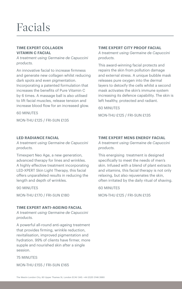### Facials

#### **TIME EXPERT COLLAGEN VITAMIN C FACIAL**

*A treatment using Germaine de Capuccini products.*

An innovative facial to increase firmness and generate new collagen whilst reducing dark spots and even pigmentation. Incorporating a patented formulation that increases the benefits of Pure Vitamin C by 6 times. A massage ball is also utilised to lift facial muscles, release tension and increase blood flow for an increased glow.

60 MINUTES

MON-THU £125 / FRI-SUN £135

#### **LED RADIANCE FACIAL**

*A treatment using Germaine de Capuccini products.*

Timexpert Neo Age, a new generation, advanced therapy for lines and wrinkles. A highly effective treatment incorporating LED-XPERT Skin Light Therapy, this facial offers unparalleled results in reducing the length and depth of wrinkles.

90 MINUTES

MON-THU £170 / FRI-SUN £180

#### **TIME EXPERT ANTI-AGEING FACIAL**

*A treatment using Germaine de Capuccini products.*

A powerful all-round anti-ageing treatment that provides firming, wrinkle reduction, revitalisation, improved pigmentation and hydration. 99% of clients have firmer, more supple and nourished skin after a single session.

75 MINUTES

MON-THU £155 / FRI-SUN £165

#### **TIME EXPERT CITY PROOF FACIAL**

*A treatment using Germaine de Capuccini products.*

This award-winning facial protects and repairs the skin from pollution damage and external stress. A unique bubble mask releases pure oxygen into the dermal layers to detoxify the cells whilst a second mask activates the skin's immune system increasing its defence capability. The skin is left healthy, protected and radiant.

60 MINUTES

MON-THU £125 / FRI-SUN £135

#### **TIME EXPERT MENS ENERGY FACIAL**

*A treatment using Germaine de Capuccini products.*

This energising treatment is designed specifically to meet the needs of men's skin. Infused with a blend of plant extracts and vitamins, this facial therapy is not only relaxing, but also rejuvenates the skin, often irritated by the daily ritual of shaving.

60 MINUTES

MON-THU £125 / FRI-SUN £135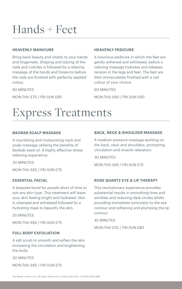### Hands + Feet

#### **HEAVENLY MANICURE**

Bring back beauty and vitality to your hands and fingernails. Shaping and tidying of the nails and cuticles is followed by a relaxing massage of the hands and forearms before the nails are finished with perfectly applied colour.

60 MINUTES

MON-THU £75 / FRI-SUN £85

#### **HEAVENLY PEDICURE**

A luxurious pedicure in which the feet are gently softened and exfoliated, before a calming massage hydrates and releases tension in the legs and feet. The feet are then immaculately finished with a nail colour of your choice.

60 MINUTES

MON-THU £80 / FRI-SUN £90

### Express Treatments

#### **BAOBAB SCALP MASSAGE**

A nourishing and moisturising neck and scalp massage utilising the benefits of Baobab seed oil. A highly effective stress relieving experience.

30 MINUTES

MON-THU £65 / FRI-SUN £75

#### **ESSENTIAL FACIAL**

A bespoke facial for people short of time to suit any skin type. This treatment will leave your skin feeling bright and hydrated. Skin is cleansed and exfoliated followed by a hydrating mask to beautify the skin.

30 MINUTES

MON-THU £65 / FRI-SUN £75

#### **FULL BODY EXFOLIATION**

A salt scrub to smooth and soften the skin increasing the circulation and brightening the body.

30 MINUTES

```
MON-THU £65 / FRI-SUN £75
```
#### **BACK, NECK & SHOULDER MASSAGE**

A medium pressure massage working on the back, neck and shoulders, prompting circulation and muscle relaxation.

30 MINUTES

MON-THU £65 / FRI-SUN £75

#### **ROSE QUARTZ EYE & LIP THERAPY**

This revolutionary experience provides substantial results in smoothing lines and wrinkles and reducing dark circles whilst providing immediate luminosity to the eye contour and softening and plumping the lip contour.

45 MINUTES

MON-THU £70 / FRI-SUN £80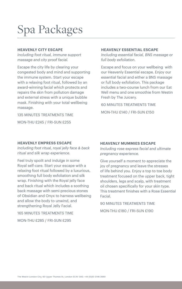### Spa Packages

#### **HEAVENLY CITY ESCAPE**

*Including foot ritual, immune support massage and city proof facial.*

Escape the city life by clearing your congested body and mind and supporting the immune system. Start your escape with a relaxing foot ritual, followed by an award-winning facial which protects and repairs the skin from pollution damage and external stress with a unique bubble mask. Finishing with your total wellbeing massage.

135 MINUTES TREATMENTS TIME MON-THU £245 / FRI-SUN £255

#### **HEAVENLY ESSENTIAL ESCAPE**

*Including essential facial, BNS massage or full body exfoliation.*

Escape and focus on your wellbeing with our Heavenly Essential escape. Enjoy our essential facial and either a BNS massage or full body exfoliation. This package includes a two-course lunch from our Eat Well menu and one smoothie from Westin Fresh by The Juicery.

60 MINUTES TREATMENTS TIME MON-THU £140 / FRI-SUN £150

#### **HEAVENLY EMPRESS ESCAPE**

*Including foot ritual, royal jelly face & back ritual and silk wrap experience.*

Feel truly spoilt and indulge in some Royal self-care. Start your escape with a relaxing foot ritual followed by a luxurious, smoothing full body exfoliation and silk wrap. Finishing with the Royal jelly face and back ritual which includes a soothing back massage with semi-precious stones of Obsidian and Onyx to harness wellbeing and allow the body to unwind, and strengthening Royal Jelly Facial.

165 MINUTES TREATMENTS TIME MON-THU £285 / FRI-SUN £295

#### **HEAVENLY MUMMIES ESCAPE**

*Including rose express facial and ultimate pregnancy experience.*

Give yourself a moment to appreciate the joy of pregnancy and leave the stresses of life behind you. Enjoy a top to toe body treatment focused on the upper back, tight shoulders, legs and scalp, with treatment oil chosen specifically for your skin type. This treatment finishes with a Rose Essential Facial.

90 MINUTES TREATMENTS TIME MON-THU £180 / FRI-SUN £190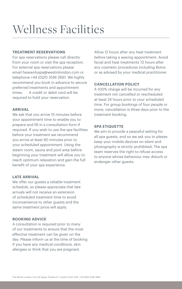### Wellness Facilities

#### **TREATMENT RESERVATIONS**

For spa reservations please call directly from your room or visit the spa reception. For external spa reservations please email [heavenlyspa@westinlondon.com](mailto:heavenlyspa@westinlondon.com) or telephone +44 (0)20 3146 2691. We highly recommend you book in advance to secure preferred treatments and appointment times. A credit or debit card will be required to hold your reservation.

#### **ARRIVAL**

We ask that you arrive 15 minutes before your appointment time to enable you to prepare and fill in a consultation form if required. If you wish to use the spa facilities before your treatment we recommend you arrive at least 60 minutes prior to your scheduled appointment. Using the steam room, sauna and pool area before beginning your treatment will allow you to reach optimum relaxation and gain the full benefit of your spa experience.

#### **LATE ARRIVAL**

We offer our guests a reliable treatment schedule, so please appreciate that late arrivals will not receive an extension of scheduled treatment time to avoid inconvenience to other guests and the same treatment price will apply.

#### **BOOKING ADVICE**

A consultation is required prior to many of our treatments to ensure that the most effective treatment can be given on the day. Please inform us at the time of booking if you have any medical conditions, skin allergies or think that you are pregnant.

Allow 12 hours after any heat treatment before taking a waxing appointment. Avoid facial and heat treatments 72 hours after any cosmetic procedures including Botox or as advised by your medical practitioner.

#### **CANCELLATION POLICY**

A 100% charge will be incurred for any treatment not cancelled or rescheduled at least 24 hours prior to your scheduled time. For group bookings of four people or more, cancellation is three days prior to the treatment booking.

#### **SPA ETIQUETTE**

We aim to provide a peaceful setting for all spa guests, and so we ask you to please keep your mobile devices on silent and photography is strictly prohibited. The spa team reserves the right to refuse access to anyone whose behaviour may disturb or endanger other guests.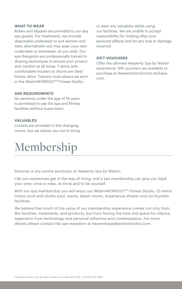#### **WHAT TO WEAR**

Robes and slippers are provided to our day spa guests. For treatments, we provide disposable underwear to suit women and men; alternatively you may wear your own underwear or swimwear, as you wish. Our spa therapists are professionally trained in draping techniques to ensure your privacy and comfort at all times. T-shirts with comfortable trousers or shorts are ideal fitness attire. Trainers must always be worn in the WestinWORKOUT™ Fitness Studio.

#### **AGE REQUIREMENTS**

No person/s under the age of 16 years is permitted to use the spa and fitness facilities without supervision.

#### **VALUABLES**

Lockers are provided in the changing rooms, but we advise you not to bring

### Membership

or wear any valuables whilst using our facilities. We are unable to accept responsibility for looking after your personal effects and for any loss or damage incurred.

#### **GIFT VOUCHERS**

Offer the ultimate Heavenly Spa by Westin experience. Gift vouchers are available to [purchase at thewestinlondoncity.skchase.](http://thewestinlondoncity.skchase.com) com.

Discover a city-centre sanctuary at Heavenly Spa by Westin.

Life can sometimes get in the way of living, and a spa membership can give you back your time: time to relax, to think and to be yourself.

With our spa membership you will enjoy our WestinWORKOUT™ Fitness Studio, 12-metre indoor pool and vitality pool, sauna, steam rooms, experience shower and ice fountain facilities.

We believe that much of the value of our membership experience comes not only from the facilities, treatments, and products, but from having the time and space for silence, separation from technology and personal reflection and contemplation. For more details please contact the spa reception at [heavenlyspa@westinlondon.com](mailto:heavenlyspa@westinlondon.com).